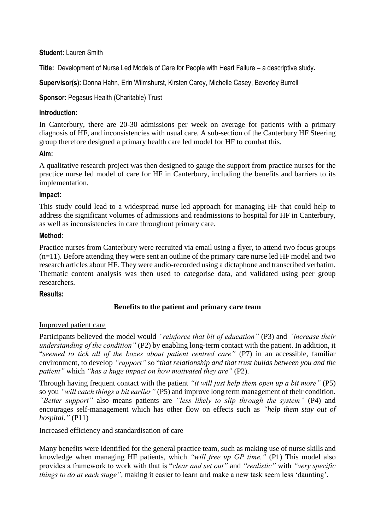**Student:** Lauren Smith

**Title:** Development of Nurse Led Models of Care for People with Heart Failure – a descriptive study**.**

**Supervisor(s):** Donna Hahn, Erin Wilmshurst, Kirsten Carey, Michelle Casey, Beverley Burrell

**Sponsor:** Pegasus Health (Charitable) Trust

# **Introduction:**

In Canterbury, there are 20-30 admissions per week on average for patients with a primary diagnosis of HF, and inconsistencies with usual care. A sub-section of the Canterbury HF Steering group therefore designed a primary health care led model for HF to combat this.

# **Aim:**

A qualitative research project was then designed to gauge the support from practice nurses for the practice nurse led model of care for HF in Canterbury, including the benefits and barriers to its implementation.

## **Impact:**

This study could lead to a widespread nurse led approach for managing HF that could help to address the significant volumes of admissions and readmissions to hospital for HF in Canterbury, as well as inconsistencies in care throughout primary care.

# **Method:**

Practice nurses from Canterbury were recruited via email using a flyer, to attend two focus groups  $(n=11)$ . Before attending they were sent an outline of the primary care nurse led HF model and two research articles about HF. They were audio-recorded using a dictaphone and transcribed verbatim. Thematic content analysis was then used to categorise data, and validated using peer group researchers.

## **Results:**

# **Benefits to the patient and primary care team**

## Improved patient care

Participants believed the model would *"reinforce that bit of education"* (P3) and *"increase their understanding of the condition"* (P2) by enabling long-term contact with the patient. In addition, it "*seemed to tick all of the boxes about patient centred care"* (P7) in an accessible, familiar environment, to develop *"rapport"* so "*that relationship and that trust builds between you and the patient"* which *"has a huge impact on how motivated they are"* (P2).

Through having frequent contact with the patient *"it will just help them open up a bit more"* (P5) so you *"will catch things a bit earlier"* (P5) and improve long term management of their condition. *"Better support"* also means patients are *"less likely to slip through the system"* (P4) and encourages self-management which has other flow on effects such as *"help them stay out of hospital."* (P11)

## Increased efficiency and standardisation of care

Many benefits were identified for the general practice team, such as making use of nurse skills and knowledge when managing HF patients, which *"will free up GP time."* (P1) This model also provides a framework to work with that is "*clear and set out"* and *"realistic"* with *"very specific things to do at each stage",* making it easier to learn and make a new task seem less 'daunting'.